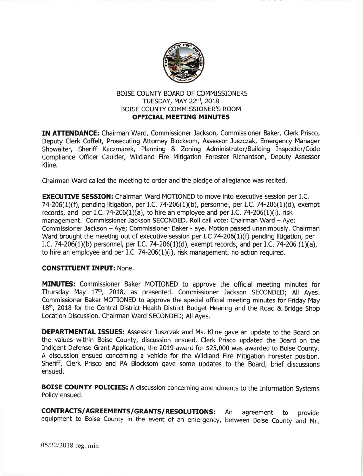

## BOISE COUNTY BOARD OF COMMISSIONERS TUESDAY, MAY 22<sup>nd</sup>, 2018 BOISE COUNTY COMMISSIONER'S ROOM **OFFICIAL MEETING MINUTES**

IN ATTENDANCEI Chairman Ward, Commissioner Jackson, Commissioner Baker, Clerk Prisco, Deputy Clerk Coffelt, Prosecuting Attorney Blocksom, Assessor Juszczak, Emergency Manager Showalter, Sheriff Kaczmarek, Planning & Zoning Administrator/Building Inspector/Code Compliance Officer Caulder. Wildland Fire Mitigation Forester Richardson, Deputy Assessor Kline.

Chairman Ward called the meeting to order and the pledge of allegiance was recited.

**EXECUTIVE SESSION:** Chairman Ward MOTIONED to move into executive session per I.C. 74-206(1)(f), pending litigation, per I.C. 74-206(1)(b), personnel, per I.C. 74-206(1)(d), exempt records, and per I.C. 74-206(1)(a), to hire an employee and per I.C. 74-206(1)(i), risk management. Commissioner Jackson SECONDED. Roll call vote: Chairman Ward - Aye; Commissioner Jackson - Aye; Commissioner Baker - aye. Motion passed unanimously. Chairman Ward brought the meeting out of executive session per I.C 74-206(1)(f) pending litigation, per I.C. 74-206(1)(b) personnel, per I.C. 74-206(1)(d), exempt records, and per I.C. 74-206 (1)(a), to hire an employee and per I.C.  $74-206(1)(i)$ , risk management, no action required.

## CONSTITUENT INPUT: None.

MINUTES: Commissioner Baker MOTIONED to approve the official meeting minutes for Thursday May 17<sup>th</sup>, 2018, as presented. Commissioner Jackson SECONDED; All Ayes. Commissioner Baker MOTIONED to approve the special official meeting minutes for Friday May 18<sup>th</sup>, 2018 for the Central District Health District Budget Hearing and the Road & Bridge Shop Location Discussion. Chairman Ward SECONDED; All Ayes.

DEPARTMENTAL ISSUES: Assessor Juszczak and Ms. Kline gave an update to the Board on the values within Boise County, discussion ensued. Clerk Prisco updated the Board on the Indigent Defense Grant Application; the 2019 award for \$25,000 was awarded to Boise County. A discussion ensued concerning a vehicle for the Wildland Fire Mitigation Forester position. Sheriff, Clerk Prisco and PA Blocksom gave some updates to the Board, brief discussions ensued.

BOISE COUNTY POLICIES: A discussion concerning amendments to the Information Systems Policy ensued.

CONTRACTS/AGREEMENTS/GRANTS/RESOLUTIONS: An agreement to provide equipment to Boise county in the event of an emergency, between Boise county and Mr.

05/22/2018 reg. min